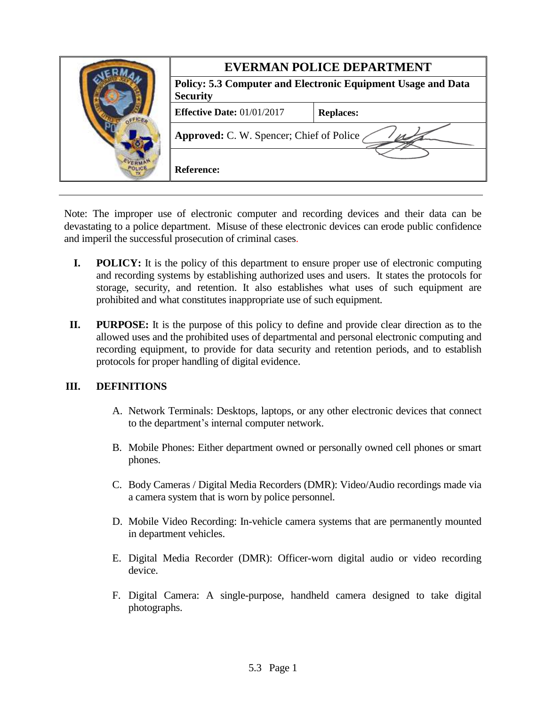|  | <b>EVERMAN POLICE DEPARTMENT</b>                                                       |                  |
|--|----------------------------------------------------------------------------------------|------------------|
|  | <b>Policy: 5.3 Computer and Electronic Equipment Usage and Data</b><br><b>Security</b> |                  |
|  | <b>Effective Date: 01/01/2017</b>                                                      | <b>Replaces:</b> |
|  | Approved: C. W. Spencer; Chief of Police                                               |                  |
|  | <b>Reference:</b>                                                                      |                  |

Note: The improper use of electronic computer and recording devices and their data can be devastating to a police department. Misuse of these electronic devices can erode public confidence and imperil the successful prosecution of criminal cases.

- **I. POLICY:** It is the policy of this department to ensure proper use of electronic computing and recording systems by establishing authorized uses and users. It states the protocols for storage, security, and retention. It also establishes what uses of such equipment are prohibited and what constitutes inappropriate use of such equipment.
- **II. PURPOSE:** It is the purpose of this policy to define and provide clear direction as to the allowed uses and the prohibited uses of departmental and personal electronic computing and recording equipment, to provide for data security and retention periods, and to establish protocols for proper handling of digital evidence.

## **III. DEFINITIONS**

- A. Network Terminals: Desktops, laptops, or any other electronic devices that connect to the department's internal computer network.
- B. Mobile Phones: Either department owned or personally owned cell phones or smart phones.
- C. Body Cameras / Digital Media Recorders (DMR): Video/Audio recordings made via a camera system that is worn by police personnel.
- D. Mobile Video Recording: In-vehicle camera systems that are permanently mounted in department vehicles.
- E. Digital Media Recorder (DMR): Officer-worn digital audio or video recording device.
- F. Digital Camera: A single-purpose, handheld camera designed to take digital photographs.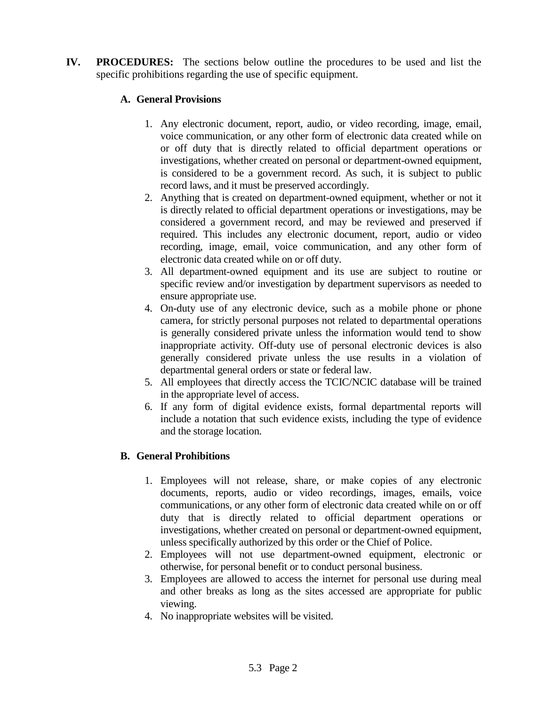**IV. PROCEDURES:** The sections below outline the procedures to be used and list the specific prohibitions regarding the use of specific equipment.

# **A. General Provisions**

- 1. Any electronic document, report, audio, or video recording, image, email, voice communication, or any other form of electronic data created while on or off duty that is directly related to official department operations or investigations, whether created on personal or department-owned equipment, is considered to be a government record. As such, it is subject to public record laws, and it must be preserved accordingly.
- 2. Anything that is created on department-owned equipment, whether or not it is directly related to official department operations or investigations, may be considered a government record, and may be reviewed and preserved if required. This includes any electronic document, report, audio or video recording, image, email, voice communication, and any other form of electronic data created while on or off duty.
- 3. All department-owned equipment and its use are subject to routine or specific review and/or investigation by department supervisors as needed to ensure appropriate use.
- 4. On-duty use of any electronic device, such as a mobile phone or phone camera, for strictly personal purposes not related to departmental operations is generally considered private unless the information would tend to show inappropriate activity. Off-duty use of personal electronic devices is also generally considered private unless the use results in a violation of departmental general orders or state or federal law.
- 5. All employees that directly access the TCIC/NCIC database will be trained in the appropriate level of access.
- 6. If any form of digital evidence exists, formal departmental reports will include a notation that such evidence exists, including the type of evidence and the storage location.

## **B. General Prohibitions**

- 1. Employees will not release, share, or make copies of any electronic documents, reports, audio or video recordings, images, emails, voice communications, or any other form of electronic data created while on or off duty that is directly related to official department operations or investigations, whether created on personal or department-owned equipment, unless specifically authorized by this order or the Chief of Police.
- 2. Employees will not use department-owned equipment, electronic or otherwise, for personal benefit or to conduct personal business.
- 3. Employees are allowed to access the internet for personal use during meal and other breaks as long as the sites accessed are appropriate for public viewing.
- 4. No inappropriate websites will be visited.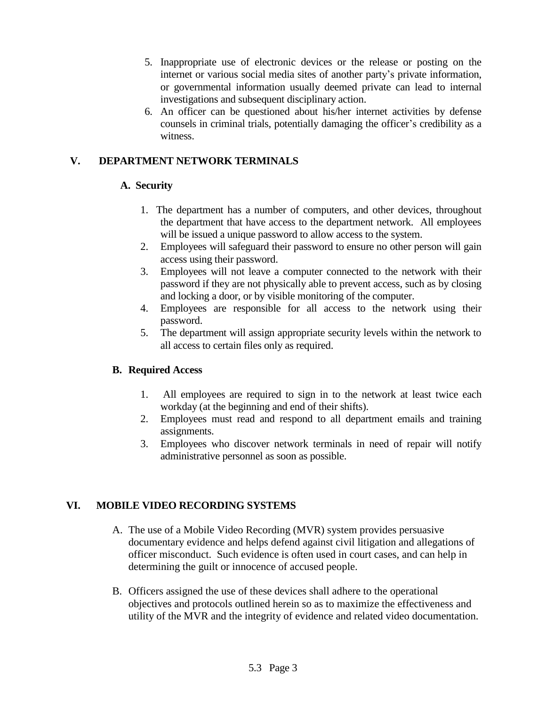- 5. Inappropriate use of electronic devices or the release or posting on the internet or various social media sites of another party's private information, or governmental information usually deemed private can lead to internal investigations and subsequent disciplinary action.
- 6. An officer can be questioned about his/her internet activities by defense counsels in criminal trials, potentially damaging the officer's credibility as a witness.

# **V. DEPARTMENT NETWORK TERMINALS**

#### **A. Security**

- 1. The department has a number of computers, and other devices, throughout the department that have access to the department network. All employees will be issued a unique password to allow access to the system.
- 2. Employees will safeguard their password to ensure no other person will gain access using their password.
- 3. Employees will not leave a computer connected to the network with their password if they are not physically able to prevent access, such as by closing and locking a door, or by visible monitoring of the computer.
- 4. Employees are responsible for all access to the network using their password.
- 5. The department will assign appropriate security levels within the network to all access to certain files only as required.

## **B. Required Access**

- 1. All employees are required to sign in to the network at least twice each workday (at the beginning and end of their shifts).
- 2. Employees must read and respond to all department emails and training assignments.
- 3. Employees who discover network terminals in need of repair will notify administrative personnel as soon as possible.

## **VI. MOBILE VIDEO RECORDING SYSTEMS**

- A. The use of a Mobile Video Recording (MVR) system provides persuasive documentary evidence and helps defend against civil litigation and allegations of officer misconduct. Such evidence is often used in court cases, and can help in determining the guilt or innocence of accused people.
- B. Officers assigned the use of these devices shall adhere to the operational objectives and protocols outlined herein so as to maximize the effectiveness and utility of the MVR and the integrity of evidence and related video documentation.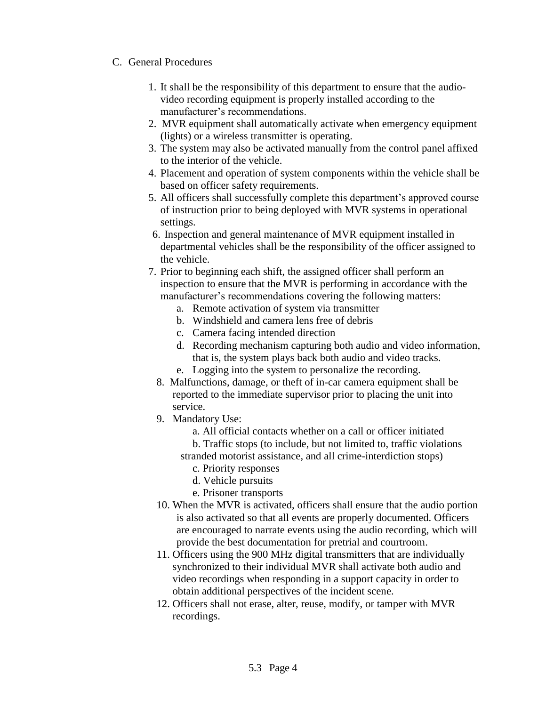#### C. General Procedures

- 1. It shall be the responsibility of this department to ensure that the audiovideo recording equipment is properly installed according to the manufacturer's recommendations.
- 2. MVR equipment shall automatically activate when emergency equipment (lights) or a wireless transmitter is operating.
- 3. The system may also be activated manually from the control panel affixed to the interior of the vehicle.
- 4. Placement and operation of system components within the vehicle shall be based on officer safety requirements.
- 5. All officers shall successfully complete this department's approved course of instruction prior to being deployed with MVR systems in operational settings.
- 6. Inspection and general maintenance of MVR equipment installed in departmental vehicles shall be the responsibility of the officer assigned to the vehicle.
- 7. Prior to beginning each shift, the assigned officer shall perform an inspection to ensure that the MVR is performing in accordance with the manufacturer's recommendations covering the following matters:
	- a. Remote activation of system via transmitter
	- b. Windshield and camera lens free of debris
	- c. Camera facing intended direction
	- d. Recording mechanism capturing both audio and video information, that is, the system plays back both audio and video tracks.
	- e. Logging into the system to personalize the recording.
	- 8. Malfunctions, damage, or theft of in-car camera equipment shall be reported to the immediate supervisor prior to placing the unit into service.
	- 9. Mandatory Use:
		- a. All official contacts whether on a call or officer initiated
		- b. Traffic stops (to include, but not limited to, traffic violations stranded motorist assistance, and all crime-interdiction stops)
			- c. Priority responses
			- d. Vehicle pursuits
			- e. Prisoner transports
	- 10. When the MVR is activated, officers shall ensure that the audio portion is also activated so that all events are properly documented. Officers are encouraged to narrate events using the audio recording, which will provide the best documentation for pretrial and courtroom.
	- 11. Officers using the 900 MHz digital transmitters that are individually synchronized to their individual MVR shall activate both audio and video recordings when responding in a support capacity in order to obtain additional perspectives of the incident scene.
	- 12. Officers shall not erase, alter, reuse, modify, or tamper with MVR recordings.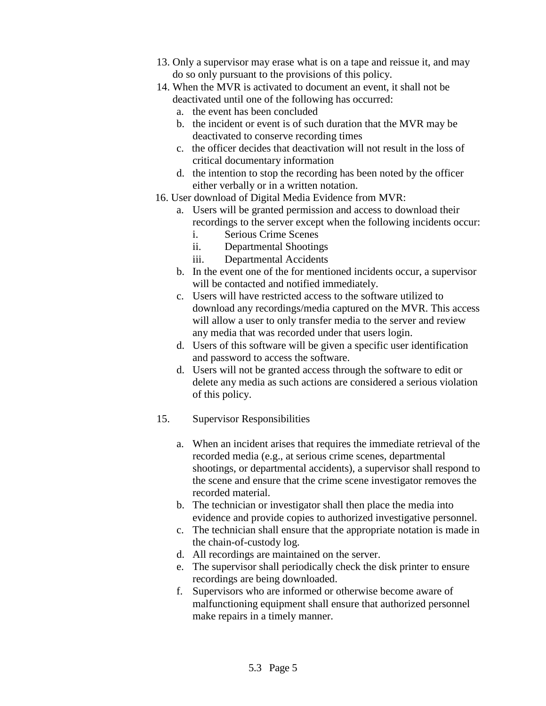- 13. Only a supervisor may erase what is on a tape and reissue it, and may do so only pursuant to the provisions of this policy.
- 14. When the MVR is activated to document an event, it shall not be deactivated until one of the following has occurred:
	- a. the event has been concluded
	- b. the incident or event is of such duration that the MVR may be deactivated to conserve recording times
	- c. the officer decides that deactivation will not result in the loss of critical documentary information
	- d. the intention to stop the recording has been noted by the officer either verbally or in a written notation.
- 16. User download of Digital Media Evidence from MVR:
	- a. Users will be granted permission and access to download their recordings to the server except when the following incidents occur:
		- i. Serious Crime Scenes
		- ii. Departmental Shootings
		- iii. Departmental Accidents
	- b. In the event one of the for mentioned incidents occur, a supervisor will be contacted and notified immediately.
	- c. Users will have restricted access to the software utilized to download any recordings/media captured on the MVR. This access will allow a user to only transfer media to the server and review any media that was recorded under that users login.
	- d. Users of this software will be given a specific user identification and password to access the software.
	- d. Users will not be granted access through the software to edit or delete any media as such actions are considered a serious violation of this policy.
- 15. Supervisor Responsibilities
	- a. When an incident arises that requires the immediate retrieval of the recorded media (e.g., at serious crime scenes, departmental shootings, or departmental accidents), a supervisor shall respond to the scene and ensure that the crime scene investigator removes the recorded material.
	- b. The technician or investigator shall then place the media into evidence and provide copies to authorized investigative personnel.
	- c. The technician shall ensure that the appropriate notation is made in the chain-of-custody log.
	- d. All recordings are maintained on the server.
	- e. The supervisor shall periodically check the disk printer to ensure recordings are being downloaded.
	- f. Supervisors who are informed or otherwise become aware of malfunctioning equipment shall ensure that authorized personnel make repairs in a timely manner.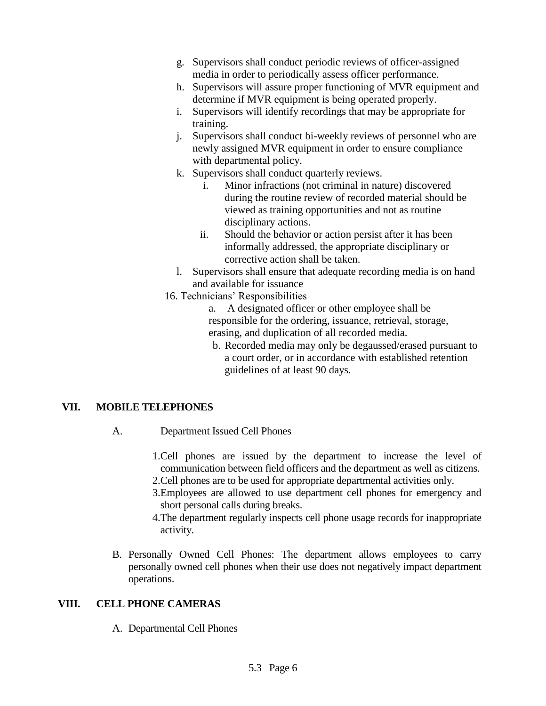- g. Supervisors shall conduct periodic reviews of officer-assigned media in order to periodically assess officer performance.
- h. Supervisors will assure proper functioning of MVR equipment and determine if MVR equipment is being operated properly.
- i. Supervisors will identify recordings that may be appropriate for training.
- j. Supervisors shall conduct bi-weekly reviews of personnel who are newly assigned MVR equipment in order to ensure compliance with departmental policy.
- k. Supervisors shall conduct quarterly reviews.
	- i. Minor infractions (not criminal in nature) discovered during the routine review of recorded material should be viewed as training opportunities and not as routine disciplinary actions.
	- ii. Should the behavior or action persist after it has been informally addressed, the appropriate disciplinary or corrective action shall be taken.
- l. Supervisors shall ensure that adequate recording media is on hand and available for issuance
- 16. Technicians' Responsibilities
	- a. A designated officer or other employee shall be responsible for the ordering, issuance, retrieval, storage, erasing, and duplication of all recorded media.
	- b. Recorded media may only be degaussed/erased pursuant to a court order, or in accordance with established retention guidelines of at least 90 days.

# **VII. MOBILE TELEPHONES**

- A. Department Issued Cell Phones
	- 1.Cell phones are issued by the department to increase the level of communication between field officers and the department as well as citizens. 2.Cell phones are to be used for appropriate departmental activities only.
	- 3.Employees are allowed to use department cell phones for emergency and short personal calls during breaks.
	- 4.The department regularly inspects cell phone usage records for inappropriate activity.
- B. Personally Owned Cell Phones: The department allows employees to carry personally owned cell phones when their use does not negatively impact department operations.

## **VIII. CELL PHONE CAMERAS**

A. Departmental Cell Phones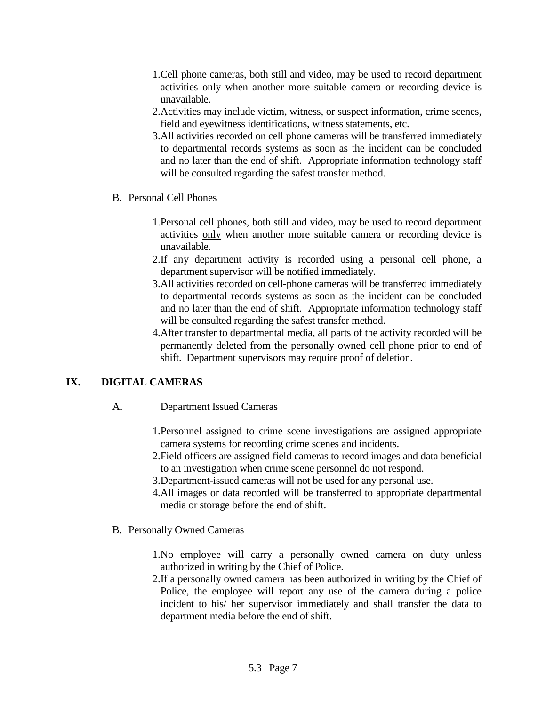- 1.Cell phone cameras, both still and video, may be used to record department activities only when another more suitable camera or recording device is unavailable.
- 2.Activities may include victim, witness, or suspect information, crime scenes, field and eyewitness identifications, witness statements, etc.
- 3.All activities recorded on cell phone cameras will be transferred immediately to departmental records systems as soon as the incident can be concluded and no later than the end of shift. Appropriate information technology staff will be consulted regarding the safest transfer method.
- B. Personal Cell Phones
	- 1.Personal cell phones, both still and video, may be used to record department activities only when another more suitable camera or recording device is unavailable.
	- 2.If any department activity is recorded using a personal cell phone, a department supervisor will be notified immediately.
	- 3.All activities recorded on cell-phone cameras will be transferred immediately to departmental records systems as soon as the incident can be concluded and no later than the end of shift. Appropriate information technology staff will be consulted regarding the safest transfer method.
	- 4.After transfer to departmental media, all parts of the activity recorded will be permanently deleted from the personally owned cell phone prior to end of shift. Department supervisors may require proof of deletion.

## **IX. DIGITAL CAMERAS**

- A. Department Issued Cameras
	- 1.Personnel assigned to crime scene investigations are assigned appropriate camera systems for recording crime scenes and incidents.
	- 2.Field officers are assigned field cameras to record images and data beneficial to an investigation when crime scene personnel do not respond.
	- 3.Department-issued cameras will not be used for any personal use.
	- 4.All images or data recorded will be transferred to appropriate departmental media or storage before the end of shift.
- B. Personally Owned Cameras
	- 1.No employee will carry a personally owned camera on duty unless authorized in writing by the Chief of Police.
	- 2.If a personally owned camera has been authorized in writing by the Chief of Police, the employee will report any use of the camera during a police incident to his/ her supervisor immediately and shall transfer the data to department media before the end of shift.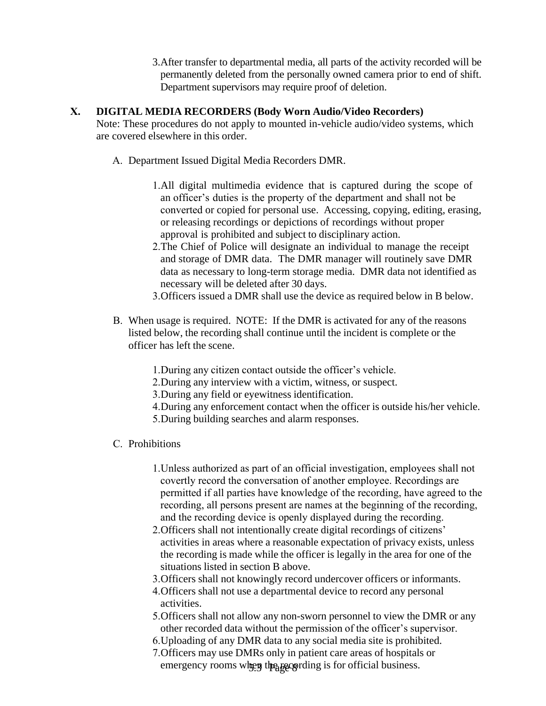3.After transfer to departmental media, all parts of the activity recorded will be permanently deleted from the personally owned camera prior to end of shift. Department supervisors may require proof of deletion.

#### **X. DIGITAL MEDIA RECORDERS (Body Worn Audio/Video Recorders)**

- Note: These procedures do not apply to mounted in-vehicle audio/video systems, which are covered elsewhere in this order.
	- A. Department Issued Digital Media Recorders DMR.
		- 1.All digital multimedia evidence that is captured during the scope of an officer's duties is the property of the department and shall not be converted or copied for personal use. Accessing, copying, editing, erasing, or releasing recordings or depictions of recordings without proper approval is prohibited and subject to disciplinary action.
		- 2.The Chief of Police will designate an individual to manage the receipt and storage of DMR data. The DMR manager will routinely save DMR data as necessary to long-term storage media. DMR data not identified as necessary will be deleted after 30 days.
		- 3.Officers issued a DMR shall use the device as required below in B below.
	- B. When usage is required. NOTE: If the DMR is activated for any of the reasons listed below, the recording shall continue until the incident is complete or the officer has left the scene.
		- 1.During any citizen contact outside the officer's vehicle.
		- 2.During any interview with a victim, witness, or suspect.
		- 3.During any field or eyewitness identification.
		- 4.During any enforcement contact when the officer is outside his/her vehicle.
		- 5.During building searches and alarm responses.
	- C. Prohibitions
		- 1.Unless authorized as part of an official investigation, employees shall not covertly record the conversation of another employee. Recordings are permitted if all parties have knowledge of the recording, have agreed to the recording, all persons present are names at the beginning of the recording, and the recording device is openly displayed during the recording.
		- 2.Officers shall not intentionally create digital recordings of citizens' activities in areas where a reasonable expectation of privacy exists, unless the recording is made while the officer is legally in the area for one of the situations listed in section B above.
		- 3.Officers shall not knowingly record undercover officers or informants.
		- 4.Officers shall not use a departmental device to record any personal activities.
		- 5.Officers shall not allow any non-sworn personnel to view the DMR or any other recorded data without the permission of the officer's supervisor.
		- 6.Uploading of any DMR data to any social media site is prohibited.
		- emergency rooms when the recording is for official business. 7.Officers may use DMRs only in patient care areas of hospitals or